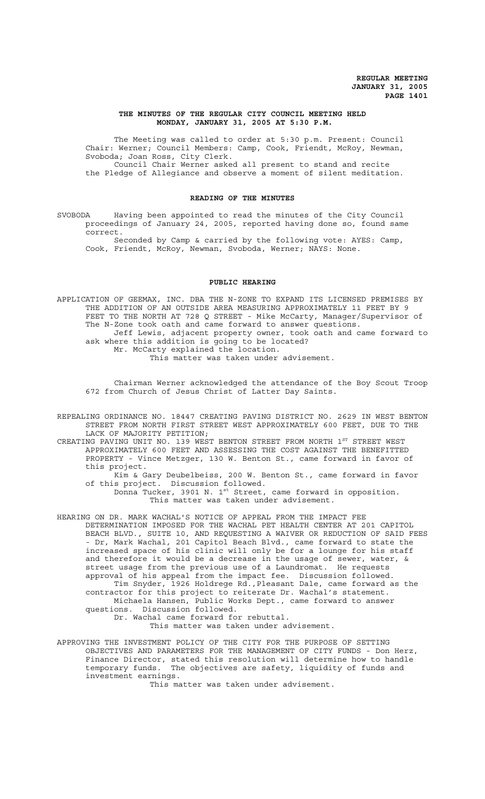#### **THE MINUTES OF THE REGULAR CITY COUNCIL MEETING HELD MONDAY, JANUARY 31, 2005 AT 5:30 P.M.**

The Meeting was called to order at 5:30 p.m. Present: Council Chair: Werner; Council Members: Camp, Cook, Friendt, McRoy, Newman, Svoboda; Joan Ross, City Clerk. Council Chair Werner asked all present to stand and recite the Pledge of Allegiance and observe a moment of silent meditation.

#### **READING OF THE MINUTES**

SVOBODA Having been appointed to read the minutes of the City Council proceedings of January 24, 2005, reported having done so, found same correct.

Seconded by Camp & carried by the following vote: AYES: Camp, Cook, Friendt, McRoy, Newman, Svoboda, Werner; NAYS: None.

## **PUBLIC HEARING**

APPLICATION OF GEEMAX, INC. DBA THE N-ZONE TO EXPAND ITS LICENSED PREMISES BY THE ADDITION OF AN OUTSIDE AREA MEASURING APPROXIMATELY 11 FEET BY 9 FEET TO THE NORTH AT 728 Q STREET - Mike McCarty, Manager/Supervisor of The N-Zone took oath and came forward to answer questions. Jeff Lewis, adjacent property owner, took oath and came forward to ask where this addition is going to be located? Mr. McCarty explained the location.

This matter was taken under advisement.

Chairman Werner acknowledged the attendance of the Boy Scout Troop 672 from Church of Jesus Christ of Latter Day Saints.

REPEALING ORDINANCE NO. 18447 CREATING PAVING DISTRICT NO. 2629 IN WEST BENTON STREET FROM NORTH FIRST STREET WEST APPROXIMATELY 600 FEET, DUE TO THE LACK OF MAJORITY PETITION;

CREATING PAVING UNIT NO. 139 WEST BENTON STREET FROM NORTH 1<sup>ST</sup> STREET WEST APPROXIMATELY 600 FEET AND ASSESSING THE COST AGAINST THE BENEFITTED PROPERTY - Vince Metzger, 130 W. Benton St., came forward in favor of this project.

Kim & Gary Deubelbeiss, 200 W. Benton St., came forward in favor of this project. Discussion followed. Donna Tucker, 3901 N. 1<sup>st</sup> Street, came forward in opposition.

This matter was taken under advisement.

HEARING ON DR. MARK WACHAL'S NOTICE OF APPEAL FROM THE IMPACT FEE DETERMINATION IMPOSED FOR THE WACHAL PET HEALTH CENTER AT 201 CAPITOL BEACH BLVD., SUITE 10, AND REQUESTING A WAIVER OR REDUCTION OF SAID FEES - Dr, Mark Wachal, 201 Capitol Beach Blvd., came forward to state the increased space of his clinic will only be for a lounge for his staff and therefore it would be a decrease in the usage of sewer, water,  $\&$ street usage from the previous use of a Laundromat. He requests approval of his appeal from the impact fee. Discussion followed. Tim Snyder, 1926 Holdrege Rd.,Pleasant Dale, came forward as the contractor for this project to reiterate Dr. Wachal's statement. Michaela Hansen, Public Works Dept., came forward to answer questions. Discussion followed. Dr. Wachal came forward for rebuttal.

This matter was taken under advisement.

APPROVING THE INVESTMENT POLICY OF THE CITY FOR THE PURPOSE OF SETTING OBJECTIVES AND PARAMETERS FOR THE MANAGEMENT OF CITY FUNDS - Don Herz, Finance Director, stated this resolution will determine how to handle temporary funds. The objectives are safety, liquidity of funds and investment earnings.

This matter was taken under advisement.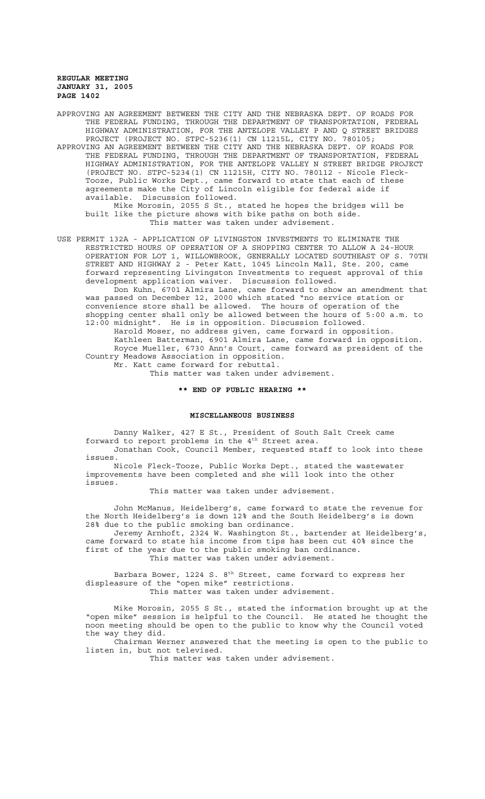APPROVING AN AGREEMENT BETWEEN THE CITY AND THE NEBRASKA DEPT. OF ROADS FOR THE FEDERAL FUNDING, THROUGH THE DEPARTMENT OF TRANSPORTATION, FEDERAL HIGHWAY ADMINISTRATION, FOR THE ANTELOPE VALLEY P AND Q STREET BRIDGES PROJECT (PROJECT NO. STPC-5236(1) CN 11215L, CITY NO. 780105;

APPROVING AN AGREEMENT BETWEEN THE CITY AND THE NEBRASKA DEPT. OF ROADS FOR THE FEDERAL FUNDING, THROUGH THE DEPARTMENT OF TRANSPORTATION, FEDERAL HIGHWAY ADMINISTRATION, FOR THE ANTELOPE VALLEY N STREET BRIDGE PROJECT (PROJECT NO. STPC-5234(1) CN 11215H, CITY NO. 780112 - Nicole Fleck-Tooze, Public Works Dept., came forward to state that each of these agreements make the City of Lincoln eligible for federal aide if Discussion followed.

Mike Morosin, 2055 S St., stated he hopes the bridges will be built like the picture shows with bike paths on both side. This matter was taken under advisement.

USE PERMIT 132A - APPLICATION OF LIVINGSTON INVESTMENTS TO ELIMINATE THE RESTRICTED HOURS OF OPERATION OF A SHOPPING CENTER TO ALLOW A 24-HOUR OPERATION FOR LOT 1, WILLOWBROOK, GENERALLY LOCATED SOUTHEAST OF S. 70TH STREET AND HIGHWAY 2 - Peter Katt, 1045 Lincoln Mall, Ste. 200, came forward representing Livingston Investments to request approval of this development application waiver. Discussion followed.

Don Kuhn, 6701 Almira Lane, came forward to show an amendment that was passed on December 12, 2000 which stated "no service station or convenience store shall be allowed. The hours of operation of the shopping center shall only be allowed between the hours of 5:00 a.m. to 12:00 midnight". He is in opposition. Discussion followed.

Harold Moser, no address given, came forward in opposition. Kathleen Batterman, 6901 Almira Lane, came forward in opposition. Royce Mueller, 6730 Ann's Court, came forward as president of the Country Meadows Association in opposition. Mr. Katt came forward for rebuttal.

This matter was taken under advisement.

# **\*\* END OF PUBLIC HEARING \*\***

#### **MISCELLANEOUS BUSINESS**

Danny Walker, 427 E St., President of South Salt Creek came forward to report problems in the 4<sup>th</sup> Street area. Jonathan Cook, Council Member, requested staff to look into these

issues. Nicole Fleck-Tooze, Public Works Dept., stated the wastewater improvements have been completed and she will look into the other issues.

This matter was taken under advisement.

John McManus, Heidelberg's, came forward to state the revenue for the North Heidelberg's is down 12% and the South Heidelberg's is down 28% due to the public smoking ban ordinance.

Jeremy Arnhoft, 2324 W. Washington St., bartender at Heidelberg's, came forward to state his income from tips has been cut 40% since the first of the year due to the public smoking ban ordinance. This matter was taken under advisement.

Barbara Bower, 1224 S. 8<sup>th</sup> Street, came forward to express her displeasure of the "open mike" restrictions. This matter was taken under advisement.

Mike Morosin, 2055 S St., stated the information brought up at the "open mike" session is helpful to the Council. He stated he thought the noon meeting should be open to the public to know why the Council voted the way they did.

Chairman Werner answered that the meeting is open to the public to listen in, but not televised.

This matter was taken under advisement.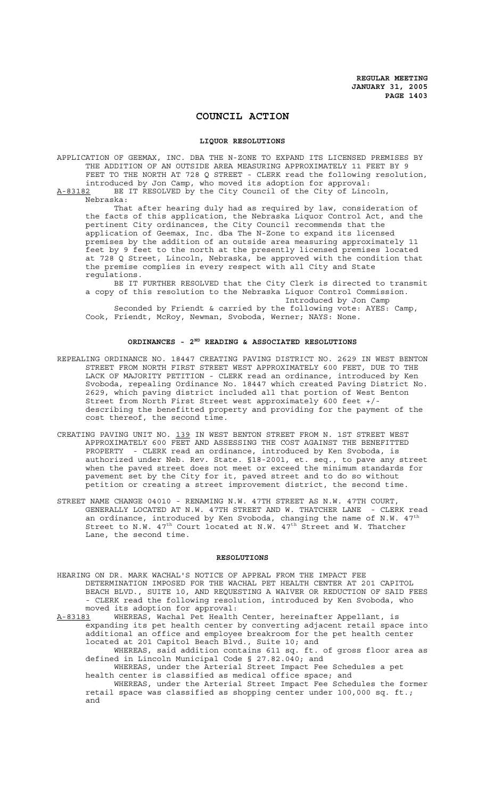# **COUNCIL ACTION**

#### **LIQUOR RESOLUTIONS**

APPLICATION OF GEEMAX, INC. DBA THE N-ZONE TO EXPAND ITS LICENSED PREMISES BY THE ADDITION OF AN OUTSIDE AREA MEASURING APPROXIMATELY 11 FEET BY 9 FEET TO THE NORTH AT 728 Q STREET - CLERK read the following resolution, introduced by Jon Camp, who moved its adoption for approval: A-83182 BE IT RESOLVED by the City Council of the City of Lincoln,

Nebraska:

That after hearing duly had as required by law, consideration of the facts of this application, the Nebraska Liquor Control Act, and the pertinent City ordinances, the City Council recommends that the application of Geemax, Inc. dba The N-Zone to expand its licensed premises by the addition of an outside area measuring approximately 11 feet by 9 feet to the north at the presently licensed premises located at 728 Q Street, Lincoln, Nebraska, be approved with the condition that the premise complies in every respect with all City and State regulations.

BE IT FURTHER RESOLVED that the City Clerk is directed to transmit a copy of this resolution to the Nebraska Liquor Control Commission. Introduced by Jon Camp

Seconded by Friendt & carried by the following vote: AYES: Camp, Cook, Friendt, McRoy, Newman, Svoboda, Werner; NAYS: None.

# ORDINANCES - 2<sup>ND</sup> READING & ASSOCIATED RESOLUTIONS

- REPEALING ORDINANCE NO. 18447 CREATING PAVING DISTRICT NO. 2629 IN WEST BENTON STREET FROM NORTH FIRST STREET WEST APPROXIMATELY 600 FEET, DUE TO THE LACK OF MAJORITY PETITION - CLERK read an ordinance, introduced by Ken Svoboda, repealing Ordinance No. 18447 which created Paving District No. 2629, which paving district included all that portion of West Benton Street from North First Street west approximately 600 feet +/ describing the benefitted property and providing for the payment of the cost thereof, the second time.
- CREATING PAVING UNIT NO. 139 IN WEST BENTON STREET FROM N. 1ST STREET WEST APPROXIMATELY 600 FEET AND ASSESSING THE COST AGAINST THE BENEFITTED PROPERTY - CLERK read an ordinance, introduced by Ken Svoboda, is authorized under Neb. Rev. State. §18-2001, et. seq., to pave any street when the paved street does not meet or exceed the minimum standards for pavement set by the City for it, paved street and to do so without petition or creating a street improvement district, the second time.
- STREET NAME CHANGE 04010 RENAMING N.W. 47TH STREET AS N.W. 47TH COURT, GENERALLY LOCATED AT N.W. 47TH STREET AND W. THATCHER LANE - CLERK read an ordinance, introduced by Ken Svoboda, changing the name of N.W.  $47^{\text{th}}$ Street to N.W.  $47^{\text{th}}$  Court located at N.W.  $47^{\text{th}}$  Street and W. Thatcher Lane, the second time.

### **RESOLUTIONS**

- HEARING ON DR. MARK WACHAL'S NOTICE OF APPEAL FROM THE IMPACT FEE DETERMINATION IMPOSED FOR THE WACHAL PET HEALTH CENTER AT 201 CAPITOL BEACH BLVD., SUITE 10, AND REQUESTING A WAIVER OR REDUCTION OF SAID FEES - CLERK read the following resolution, introduced by Ken Svoboda, who moved its adoption for approval:
- A-83183 WHEREAS, Wachal Pet Health Center, hereinafter Appellant, is expanding its pet health center by converting adjacent retail space into additional an office and employee breakroom for the pet health center located at 201 Capitol Beach Blvd., Suite 10; and

WHEREAS, said addition contains 611 sq. ft. of gross floor area as defined in Lincoln Municipal Code § 27.82.040; and

WHEREAS, under the Arterial Street Impact Fee Schedules a pet health center is classified as medical office space; and

WHEREAS, under the Arterial Street Impact Fee Schedules the former retail space was classified as shopping center under 100,000 sq. ft.; and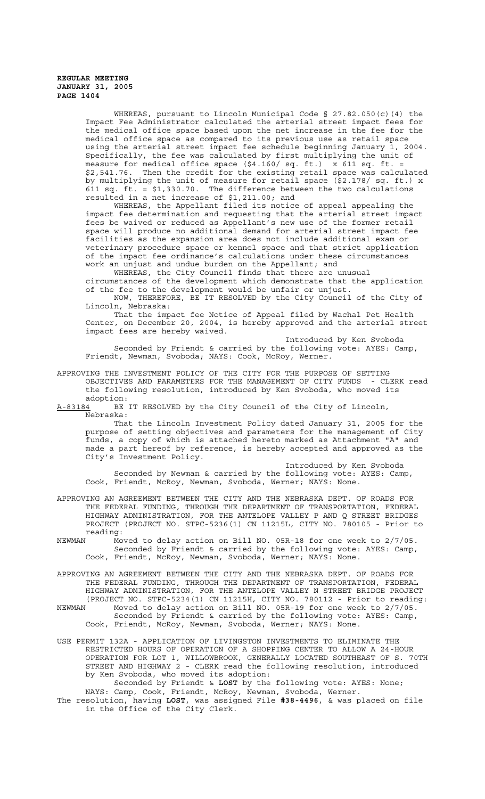WHEREAS, pursuant to Lincoln Municipal Code § 27.82.050(c)(4) the Impact Fee Administrator calculated the arterial street impact fees for the medical office space based upon the net increase in the fee for the medical office space as compared to its previous use as retail space using the arterial street impact fee schedule beginning January 1, 2004. Specifically, the fee was calculated by first multiplying the unit of measure for medical office space (\$4.160/ sq. ft.) x 611 sq. ft. = \$2,541.76. Then the credit for the existing retail space was calculated by multiplying the unit of measure for retail space (\$2.178/ sq. ft.) x 611 sq.  $\overline{ft}$ . = \$1,330.70. The difference between the two calculations resulted in a net increase of \$1,211.00; and

WHEREAS, the Appellant filed its notice of appeal appealing the impact fee determination and requesting that the arterial street impact fees be waived or reduced as Appellant's new use of the former retail space will produce no additional demand for arterial street impact fee facilities as the expansion area does not include additional exam or veterinary procedure space or kennel space and that strict application of the impact fee ordinance's calculations under these circumstances work an unjust and undue burden on the Appellant; and

WHEREAS, the City Council finds that there are unusual circumstances of the development which demonstrate that the application of the fee to the development would be unfair or unjust.

NOW, THEREFORE, BE IT RESOLVED by the City Council of the City of Lincoln, Nebraska:

That the impact fee Notice of Appeal filed by Wachal Pet Health Center, on December 20, 2004, is hereby approved and the arterial street impact fees are hereby waived.

Introduced by Ken Svoboda Seconded by Friendt & carried by the following vote: AYES: Camp, Friendt, Newman, Svoboda; NAYS: Cook, McRoy, Werner.

APPROVING THE INVESTMENT POLICY OF THE CITY FOR THE PURPOSE OF SETTING OBJECTIVES AND PARAMETERS FOR THE MANAGEMENT OF CITY FUNDS - CLERK read the following resolution, introduced by Ken Svoboda, who moved its adoption:

A-83184 BE IT RESOLVED by the City Council of the City of Lincoln, Nebraska:

That the Lincoln Investment Policy dated January 31, 2005 for the purpose of setting objectives and parameters for the management of City funds, a copy of which is attached hereto marked as Attachment "A" and made a part hereof by reference, is hereby accepted and approved as the City's Investment Policy.

Introduced by Ken Svoboda Seconded by Newman & carried by the following vote: AYES: Camp, Cook, Friendt, McRoy, Newman, Svoboda, Werner; NAYS: None.

APPROVING AN AGREEMENT BETWEEN THE CITY AND THE NEBRASKA DEPT. OF ROADS FOR THE FEDERAL FUNDING, THROUGH THE DEPARTMENT OF TRANSPORTATION, FEDERAL HIGHWAY ADMINISTRATION, FOR THE ANTELOPE VALLEY P AND Q STREET BRIDGES PROJECT (PROJECT NO. STPC-5236(1) CN 11215L, CITY NO. 780105 - Prior to reading:<br>NEWMAN Mo

Moved to delay action on Bill NO. 05R-18 for one week to 2/7/05. Seconded by Friendt & carried by the following vote: AYES: Camp, Cook, Friendt, McRoy, Newman, Svoboda, Werner; NAYS: None.

APPROVING AN AGREEMENT BETWEEN THE CITY AND THE NEBRASKA DEPT. OF ROADS FOR THE FEDERAL FUNDING, THROUGH THE DEPARTMENT OF TRANSPORTATION, FEDERAL HIGHWAY ADMINISTRATION, FOR THE ANTELOPE VALLEY N STREET BRIDGE PROJECT (PROJECT NO. STPC-5234(1) CN 11215H, CITY NO. 780112 - Prior to reading:<br>NEWMAN Moved to delay action on Bill NO. 05R-19 for one week to  $2/7/05$ . Moved to delay action on Bill NO. 05R-19 for one week to  $2/7/05$ .

Seconded by Friendt & carried by the following vote: AYES: Camp, Cook, Friendt, McRoy, Newman, Svoboda, Werner; NAYS: None.

USE PERMIT 132A - APPLICATION OF LIVINGSTON INVESTMENTS TO ELIMINATE THE RESTRICTED HOURS OF OPERATION OF A SHOPPING CENTER TO ALLOW A 24-HOUR OPERATION FOR LOT 1, WILLOWBROOK, GENERALLY LOCATED SOUTHEAST OF S. 70TH STREET AND HIGHWAY 2 - CLERK read the following resolution, introduced by Ken Svoboda, who moved its adoption:

Seconded by Friendt & LOST by the following vote: AYES: None; NAYS: Camp, Cook, Friendt, McRoy, Newman, Svoboda, Werner.

The resolution, having **LOST**, was assigned File **#38-4496**, & was placed on file in the Office of the City Clerk.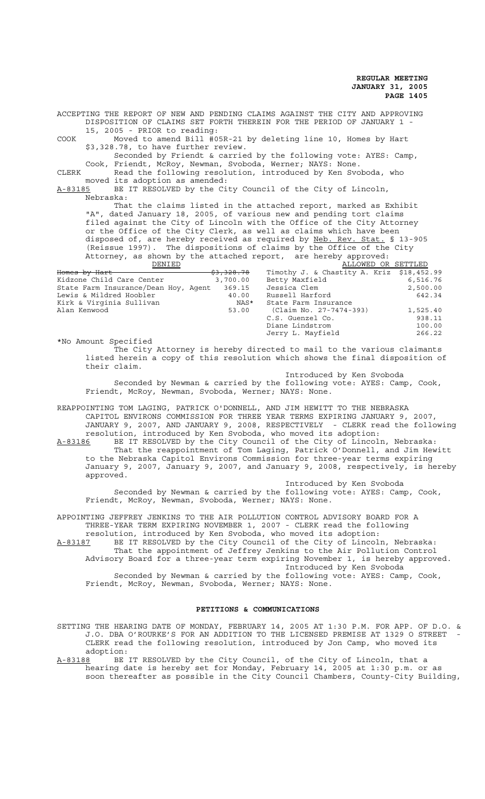ACCEPTING THE REPORT OF NEW AND PENDING CLAIMS AGAINST THE CITY AND APPROVING DISPOSITION OF CLAIMS SET FORTH THEREIN FOR THE PERIOD OF JANUARY 1 - 15, 2005 - PRIOR to reading: COOK Moved to amend Bill #05R-21 by deleting line 10, Homes by Hart \$3,328.78, to have further review. Seconded by Friendt & carried by the following vote: AYES: Camp, Cook, Friendt, McRoy, Newman, Svoboda, Werner; NAYS: None. CLERK Read the following resolution, introduced by Ken Svoboda, who moved its adoption as amended: A-83185 BE IT RESOLVED by the City Council of the City of Lincoln, Nebraska: That the claims listed in the attached report, marked as Exhibit "A", dated January 18, 2005, of various new and pending tort claims filed against the City of Lincoln with the Office of the City Attorney or the Office of the City Clerk, as well as claims which have been disposed of, are hereby received as required by Neb. Rev. Stat. § 13-905 (Reissue 1997). The dispositions of claims by the Office of the City Attorney, as shown by the attached report, are hereby approved: DENIED 33,328.78 Timothy J. & Chastity A. Kriz \$18,452<br>218,452 mter 3,700.00 Betty Maxfield 6,516 Timothy J. & Chastity A. Kriz \$18,452.99<br>Betty Maxfield 6,516.76 <del>Homes by Hart<br>Kidzone Child Care Center</del>

|       |                      | 2,500.00                                                                                  |
|-------|----------------------|-------------------------------------------------------------------------------------------|
| 40.00 | Russell Harford      | 642.34                                                                                    |
| NAS*  | State Farm Insurance |                                                                                           |
|       |                      | 1,525.40                                                                                  |
|       | C.S. Guenzel Co.     | 938.11                                                                                    |
|       | Diane Lindstrom      | 100.00                                                                                    |
|       | Jerry L. Mayfield    | 266.22                                                                                    |
|       |                      | State Farm Insurance/Dean Hoy, Agent 369.15 Jessica Clem<br>53.00 (Claim No. 27-7474-393) |

\*No Amount Specified The City Attorney is hereby directed to mail to the various claimants listed herein a copy of this resolution which shows the final disposition of their claim.

Introduced by Ken Svoboda

Seconded by Newman & carried by the following vote: AYES: Camp, Cook, Friendt, McRoy, Newman, Svoboda, Werner; NAYS: None.

REAPPOINTING TOM LAGING, PATRICK O'DONNELL, AND JIM HEWITT TO THE NEBRASKA CAPITOL ENVIRONS COMMISSION FOR THREE YEAR TERMS EXPIRING JANUARY 9, 2007, JANUARY 9, 2007, AND JANUARY 9, 2008, RESPECTIVELY - CLERK read the following resolution, introduced by Ken Svoboda, who moved its adoption: A-83186 BE IT RESOLVED by the City Council of the City of Lincoln, Nebraska: That the reappointment of Tom Laging, Patrick O'Donnell, and Jim Hewitt to the Nebraska Capitol Environs Commission for three-year terms expiring January 9, 2007, January 9, 2007, and January 9, 2008, respectively, is hereby approved.

Introduced by Ken Svoboda Seconded by Newman & carried by the following vote: AYES: Camp, Cook, Friendt, McRoy, Newman, Svoboda, Werner; NAYS: None.

APPOINTING JEFFREY JENKINS TO THE AIR POLLUTION CONTROL ADVISORY BOARD FOR A THREE-YEAR TERM EXPIRING NOVEMBER 1, 2007 - CLERK read the following resolution, introduced by Ken Svoboda, who moved its adoption:

A-83187 BE IT RESOLVED by the City Council of the City of Lincoln, Nebraska: That the appointment of Jeffrey Jenkins to the Air Pollution Control Advisory Board for a three-year term expiring November 1, is hereby approved. Introduced by Ken Svoboda

Seconded by Newman & carried by the following vote: AYES: Camp, Cook, Friendt, McRoy, Newman, Svoboda, Werner; NAYS: None.

### **PETITIONS & COMMUNICATIONS**

- SETTING THE HEARING DATE OF MONDAY, FEBRUARY 14, 2005 AT 1:30 P.M. FOR APP. OF D.O. & J.O. DBA O'ROURKE'S FOR AN ADDITION TO THE LICENSED PREMISE AT 1329 O STREET - CLERK read the following resolution, introduced by Jon Camp, who moved its adoption:
- A-83188 BE IT RESOLVED by the City Council, of the City of Lincoln, that a hearing date is hereby set for Monday, February 14, 2005 at 1:30 p.m. or as soon thereafter as possible in the City Council Chambers, County-City Building,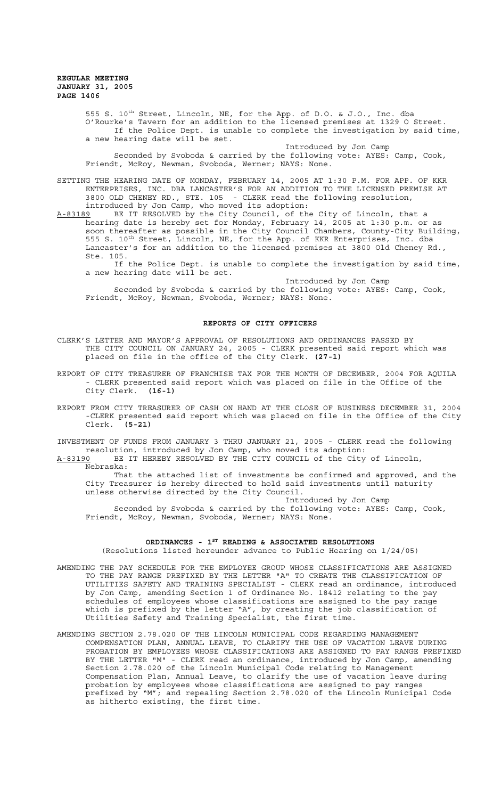> 555 S. 10th Street, Lincoln, NE, for the App. of D.O. & J.O., Inc. dba O'Rourke's Tavern for an addition to the licensed premises at 1329 O Street. If the Police Dept. is unable to complete the investigation by said time, a new hearing date will be set.

Introduced by Jon Camp Seconded by Svoboda & carried by the following vote: AYES: Camp, Cook, Friendt, McRoy, Newman, Svoboda, Werner; NAYS: None.

SETTING THE HEARING DATE OF MONDAY, FEBRUARY 14, 2005 AT 1:30 P.M. FOR APP. OF KKR ENTERPRISES, INC. DBA LANCASTER'S FOR AN ADDITION TO THE LICENSED PREMISE AT 3800 OLD CHENEY RD., STE. 105 - CLERK read the following resolution, introduced by Jon Camp, who moved its adoption:

A-83189 BE IT RESOLVED by the City Council, of the City of Lincoln, that a hearing date is hereby set for Monday, February 14, 2005 at 1:30 p.m. or as soon thereafter as possible in the City Council Chambers, County-City Building, 555 S. 10<sup>th</sup> Street, Lincoln, NE, for the App. of KKR Enterprises, Inc. dba Lancaster's for an addition to the licensed premises at 3800 Old Cheney Rd., Ste. 105.

If the Police Dept. is unable to complete the investigation by said time, a new hearing date will be set.

Introduced by Jon Camp Seconded by Svoboda & carried by the following vote: AYES: Camp, Cook, Friendt, McRoy, Newman, Svoboda, Werner; NAYS: None.

### **REPORTS OF CITY OFFICERS**

- CLERK'S LETTER AND MAYOR'S APPROVAL OF RESOLUTIONS AND ORDINANCES PASSED BY THE CITY COUNCIL ON JANUARY 24, 2005 - CLERK presented said report which was placed on file in the office of the City Clerk. **(27-1)**
- REPORT OF CITY TREASURER OF FRANCHISE TAX FOR THE MONTH OF DECEMBER, 2004 FOR AQUILA - CLERK presented said report which was placed on file in the Office of the City Clerk. **(16-1)**
- REPORT FROM CITY TREASURER OF CASH ON HAND AT THE CLOSE OF BUSINESS DECEMBER 31, 2004 -CLERK presented said report which was placed on file in the Office of the City Clerk. **(5-21)**

INVESTMENT OF FUNDS FROM JANUARY 3 THRU JANUARY 21, 2005 - CLERK read the following resolution, introduced by Jon Camp, who moved its adoption:

A-83190 BE IT HEREBY RESOLVED BY THE CITY COUNCIL of the City of Lincoln,

Nebraska:

That the attached list of investments be confirmed and approved, and the City Treasurer is hereby directed to hold said investments until maturity unless otherwise directed by the City Council.

Introduced by Jon Camp Seconded by Svoboda & carried by the following vote: AYES: Camp, Cook, Friendt, McRoy, Newman, Svoboda, Werner; NAYS: None.

## ORDINANCES - 1<sup>st</sup> READING & ASSOCIATED RESOLUTIONS

(Resolutions listed hereunder advance to Public Hearing on 1/24/05)

- AMENDING THE PAY SCHEDULE FOR THE EMPLOYEE GROUP WHOSE CLASSIFICATIONS ARE ASSIGNED TO THE PAY RANGE PREFIXED BY THE LETTER "A" TO CREATE THE CLASSIFICATION OF UTILITIES SAFETY AND TRAINING SPECIALIST - CLERK read an ordinance, introduced by Jon Camp, amending Section 1 of Ordinance No. 18412 relating to the pay schedules of employees whose classifications are assigned to the pay range which is prefixed by the letter "A", by creating the job classification of Utilities Safety and Training Specialist, the first time.
- AMENDING SECTION 2.78.020 OF THE LINCOLN MUNICIPAL CODE REGARDING MANAGEMENT COMPENSATION PLAN, ANNUAL LEAVE, TO CLARIFY THE USE OF VACATION LEAVE DURING PROBATION BY EMPLOYEES WHOSE CLASSIFICATIONS ARE ASSIGNED TO PAY RANGE PREFIXED BY THE LETTER "M" - CLERK read an ordinance, introduced by Jon Camp, amending Section 2.78.020 of the Lincoln Municipal Code relating to Management Compensation Plan, Annual Leave, to clarify the use of vacation leave during probation by employees whose classifications are assigned to pay ranges prefixed by "M"; and repealing Section 2.78.020 of the Lincoln Municipal Code as hitherto existing, the first time.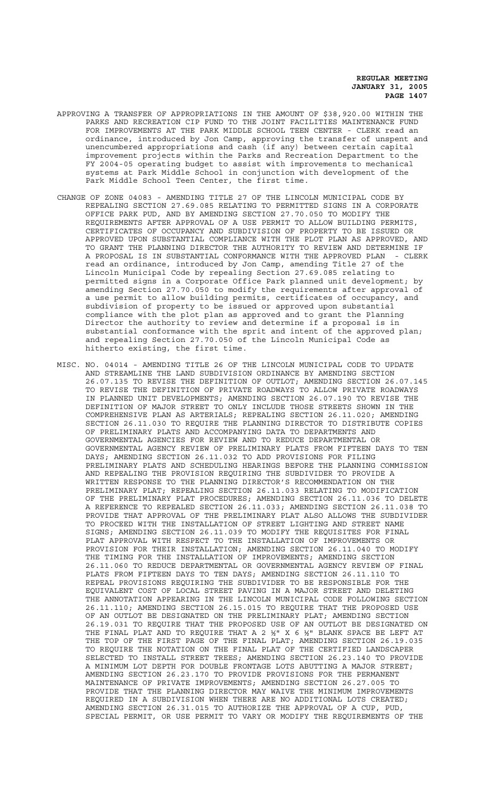- APPROVING A TRANSFER OF APPROPRIATIONS IN THE AMOUNT OF \$38,920.00 WITHIN THE PARKS AND RECREATION CIP FUND TO THE JOINT FACILITIES MAINTENANCE FUND FOR IMPROVEMENTS AT THE PARK MIDDLE SCHOOL TEEN CENTER - CLERK read an ordinance, introduced by Jon Camp, approving the transfer of unspent and unencumbered appropriations and cash (if any) between certain capital improvement projects within the Parks and Recreation Department to the FY 2004-05 operating budget to assist with improvements to mechanical systems at Park Middle School in conjunction with development of the Park Middle School Teen Center, the first time.
- CHANGE OF ZONE 04083 AMENDING TITLE 27 OF THE LINCOLN MUNICIPAL CODE BY REPEALING SECTION 27.69.085 RELATING TO PERMITTED SIGNS IN A CORPORATE OFFICE PARK PUD, AND BY AMENDING SECTION 27.70.050 TO MODIFY THE REQUIREMENTS AFTER APPROVAL OF A USE PERMIT TO ALLOW BUILDING PERMITS, CERTIFICATES OF OCCUPANCY AND SUBDIVISION OF PROPERTY TO BE ISSUED OR APPROVED UPON SUBSTANTIAL COMPLIANCE WITH THE PLOT PLAN AS APPROVED, AND TO GRANT THE PLANNING DIRECTOR THE AUTHORITY TO REVIEW AND DETERMINE IF A PROPOSAL IS IN SUBSTANTIAL CONFORMANCE WITH THE APPROVED PLAN - CLERK read an ordinance, introduced by Jon Camp, amending Title 27 of the Lincoln Municipal Code by repealing Section 27.69.085 relating to permitted signs in a Corporate Office Park planned unit development; by amending Section 27.70.050 to modify the requirements after approval of a use permit to allow building permits, certificates of occupancy, and subdivision of property to be issued or approved upon substantial compliance with the plot plan as approved and to grant the Planning Director the authority to review and determine if a proposal is in substantial conformance with the sprit and intent of the approved plan; and repealing Section 27.70.050 of the Lincoln Municipal Code as hitherto existing, the first time.
- MISC. NO. 04014 AMENDING TITLE 26 OF THE LINCOLN MUNICIPAL CODE TO UPDATE AND STREAMLINE THE LAND SUBDIVISION ORDINANCE BY AMENDING SECTION 26.07.135 TO REVISE THE DEFINITION OF OUTLOT; AMENDING SECTION 26.07.145 TO REVISE THE DEFINITION OF PRIVATE ROADWAYS TO ALLOW PRIVATE ROADWAYS IN PLANNED UNIT DEVELOPMENTS; AMENDING SECTION 26.07.190 TO REVISE THE DEFINITION OF MAJOR STREET TO ONLY INCLUDE THOSE STREETS SHOWN IN THE COMPREHENSIVE PLAN AS ARTERIALS; REPEALING SECTION 26.11.020; AMENDING SECTION 26.11.030 TO REQUIRE THE PLANNING DIRECTOR TO DISTRIBUTE COPIES OF PRELIMINARY PLATS AND ACCOMPANYING DATA TO DEPARTMENTS AND GOVERNMENTAL AGENCIES FOR REVIEW AND TO REDUCE DEPARTMENTAL OR GOVERNMENTAL AGENCY REVIEW OF PRELIMINARY PLATS FROM FIFTEEN DAYS TO TEN DAYS; AMENDING SECTION 26.11.032 TO ADD PROVISIONS FOR FILING PRELIMINARY PLATS AND SCHEDULING HEARINGS BEFORE THE PLANNING COMMISSION AND REPEALING THE PROVISION REQUIRING THE SUBDIVIDER TO PROVIDE A WRITTEN RESPONSE TO THE PLANNING DIRECTOR'S RECOMMENDATION ON THE PRELIMINARY PLAT; REPEALING SECTION 26.11.033 RELATING TO MODIFICATION OF THE PRELIMINARY PLAT PROCEDURES; AMENDING SECTION 26.11.036 TO DELETE A REFERENCE TO REPEALED SECTION 26.11.033; AMENDING SECTION 26.11.038 TO PROVIDE THAT APPROVAL OF THE PRELIMINARY PLAT ALSO ALLOWS THE SUBDIVIDER TO PROCEED WITH THE INSTALLATION OF STREET LIGHTING AND STREET NAME SIGNS; AMENDING SECTION 26.11.039 TO MODIFY THE REQUISITES FOR FINAL PLAT APPROVAL WITH RESPECT TO THE INSTALLATION OF IMPROVEMENTS OR PROVISION FOR THEIR INSTALLATION; AMENDING SECTION 26.11.040 TO MODIFY THE TIMING FOR THE INSTALLATION OF IMPROVEMENTS; AMENDING SECTION 26.11.060 TO REDUCE DEPARTMENTAL OR GOVERNMENTAL AGENCY REVIEW OF FINAL PLATS FROM FIFTEEN DAYS TO TEN DAYS; AMENDING SECTION 26.11.110 TO REPEAL PROVISIONS REQUIRING THE SUBDIVIDER TO BE RESPONSIBLE FOR THE EQUIVALENT COST OF LOCAL STREET PAVING IN A MAJOR STREET AND DELETING THE ANNOTATION APPEARING IN THE LINCOLN MUNICIPAL CODE FOLLOWING SECTION 26.11.110; AMENDING SECTION 26.15.015 TO REQUIRE THAT THE PROPOSED USE OF AN OUTLOT BE DESIGNATED ON THE PRELIMINARY PLAT; AMENDING SECTION 26.19.031 TO REQUIRE THAT THE PROPOSED USE OF AN OUTLOT BE DESIGNATED ON THE FINAL PLAT AND TO REQUIRE THAT A 2 ½" X 6 ½" BLANK SPACE BE LEFT AT THE TOP OF THE FIRST PAGE OF THE FINAL PLAT; AMENDING SECTION 26.19.035 TO REQUIRE THE NOTATION ON THE FINAL PLAT OF THE CERTIFIED LANDSCAPER SELECTED TO INSTALL STREET TREES; AMENDING SECTION 26.23.140 TO PROVIDE A MINIMUM LOT DEPTH FOR DOUBLE FRONTAGE LOTS ABUTTING A MAJOR STREET; AMENDING SECTION 26.23.170 TO PROVIDE PROVISIONS FOR THE PERMANENT MAINTENANCE OF PRIVATE IMPROVEMENTS; AMENDING SECTION 26.27.005 TO PROVIDE THAT THE PLANNING DIRECTOR MAY WAIVE THE MINIMUM IMPROVEMENTS REQUIRED IN A SUBDIVISION WHEN THERE ARE NO ADDITIONAL LOTS CREATED; AMENDING SECTION 26.31.015 TO AUTHORIZE THE APPROVAL OF A CUP, PUD, SPECIAL PERMIT, OR USE PERMIT TO VARY OR MODIFY THE REQUIREMENTS OF THE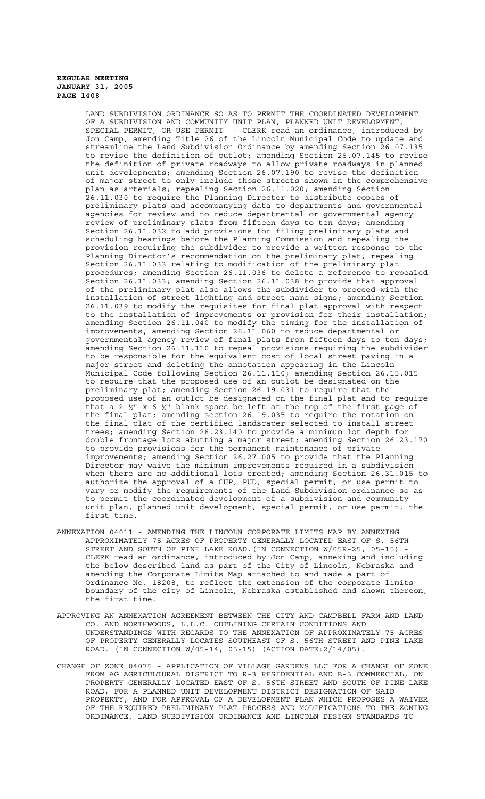LAND SUBDIVISION ORDINANCE SO AS TO PERMIT THE COORDINATED DEVELOPMENT OF A SUBDIVISION AND COMMUNITY UNIT PLAN, PLANNED UNIT DEVELOPMENT, SPECIAL PERMIT, OR USE PERMIT - CLERK read an ordinance, introduced by Jon Camp, amending Title 26 of the Lincoln Municipal Code to update and streamline the Land Subdivision Ordinance by amending Section 26.07.135 to revise the definition of outlot; amending Section 26.07.145 to revise the definition of private roadways to allow private roadways in planned unit developments; amending Section 26.07.190 to revise the definition of major street to only include those streets shown in the comprehensive plan as arterials; repealing Section 26.11.020; amending Section 26.11.030 to require the Planning Director to distribute copies of preliminary plats and accompanying data to departments and governmental agencies for review and to reduce departmental or governmental agency review of preliminary plats from fifteen days to ten days; amending Section 26.11.032 to add provisions for filing preliminary plats and scheduling hearings before the Planning Commission and repealing the provision requiring the subdivider to provide a written response to the Planning Director's recommendation on the preliminary plat; repealing Section 26.11.033 relating to modification of the preliminary plat procedures; amending Section 26.11.036 to delete a reference to repealed Section 26.11.033; amending Section 26.11.038 to provide that approval of the preliminary plat also allows the subdivider to proceed with the installation of street lighting and street name signs; amending Section 26.11.039 to modify the requisites for final plat approval with respect to the installation of improvements or provision for their installation; amending Section 26.11.040 to modify the timing for the installation of improvements; amending Section 26.11.060 to reduce departmental or governmental agency review of final plats from fifteen days to ten days; amending Section 26.11.110 to repeal provisions requiring the subdivider to be responsible for the equivalent cost of local street paving in a major street and deleting the annotation appearing in the Lincoln Municipal Code following Section 26.11.110; amending Section 26.15.015 to require that the proposed use of an outlot be designated on the preliminary plat; amending Section 26.19.031 to require that the proposed use of an outlot be designated on the final plat and to require that a 2  $\frac{1}{2}$ " x 6  $\frac{1}{2}$ " blank space be left at the top of the first page of the final plat; amending section 26.19.035 to require the notation on the final plat of the certified landscaper selected to install street trees; amending Section 26.23.140 to provide a minimum lot depth for double frontage lots abutting a major street; amending Section 26.23.170 to provide provisions for the permanent maintenance of private improvements; amending Section 26.27.005 to provide that the Planning Director may waive the minimum improvements required in a subdivision when there are no additional lots created; amending Section 26.31.015 to authorize the approval of a CUP, PUD, special permit, or use permit to vary or modify the requirements of the Land Subdivision ordinance so as to permit the coordinated development of a subdivision and community unit plan, planned unit development, special permit, or use permit, the first time.

- ANNEXATION 04011 AMENDING THE LINCOLN CORPORATE LIMITS MAP BY ANNEXING APPROXIMATELY 75 ACRES OF PROPERTY GENERALLY LOCATED EAST OF S. 56TH STREET AND SOUTH OF PINE LAKE ROAD. (IN CONNECTION W/05R-25, 05-15) CLERK read an ordinance, introduced by Jon Camp, annexing and including the below described land as part of the City of Lincoln, Nebraska and amending the Corporate Limits Map attached to and made a part of Ordinance No. 18208, to reflect the extension of the corporate limits boundary of the city of Lincoln, Nebraska established and shown thereon, the first time.
- APPROVING AN ANNEXATION AGREEMENT BETWEEN THE CITY AND CAMPBELL FARM AND LAND CO. AND NORTHWOODS, L.L.C. OUTLINING CERTAIN CONDITIONS AND UNDERSTANDINGS WITH REGARDS TO THE ANNEXATION OF APPROXIMATELY 75 ACRES OF PROPERTY GENERALLY LOCATES SOUTHEAST OF S. 56TH STREET AND PINE LAKE ROAD. (IN CONNECTION W/05-14, 05-15) (ACTION DATE:2/14/05).
- CHANGE OF ZONE 04075 APPLICATION OF VILLAGE GARDENS LLC FOR A CHANGE OF ZONE FROM AG AGRICULTURAL DISTRICT TO R-3 RESIDENTIAL AND B-3 COMMERCIAL, ON PROPERTY GENERALLY LOCATED EAST OF S. 56TH STREET AND SOUTH OF PINE LAKE ROAD, FOR A PLANNED UNIT DEVELOPMENT DISTRICT DESIGNATION OF SAID PROPERTY, AND FOR APPROVAL OF A DEVELOPMENT PLAN WHICH PROPOSES A WAIVER OF THE REQUIRED PRELIMINARY PLAT PROCESS AND MODIFICATIONS TO THE ZONING ORDINANCE, LAND SUBDIVISION ORDINANCE AND LINCOLN DESIGN STANDARDS TO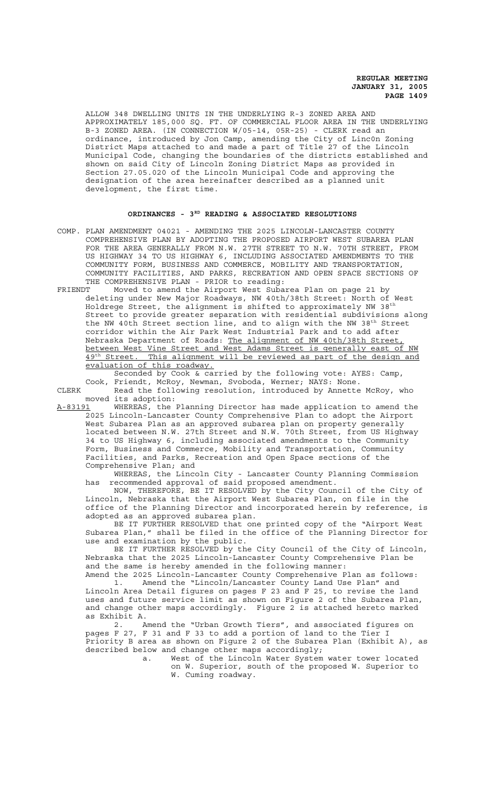ALLOW 348 DWELLING UNITS IN THE UNDERLYING R-3 ZONED AREA AND APPROXIMATELY 185,000 SQ. FT. OF COMMERCIAL FLOOR AREA IN THE UNDERLYING B-3 ZONED AREA. (IN CONNECTION W/05-14, 05R-25) - CLERK read an ordinance, introduced by Jon Camp, amending the City of Linc0n Zoning District Maps attached to and made a part of Title 27 of the Lincoln Municipal Code, changing the boundaries of the districts established and shown on said City of Lincoln Zoning District Maps as provided in Section 27.05.020 of the Lincoln Municipal Code and approving the designation of the area hereinafter described as a planned unit development, the first time.

# ORDINANCES - 3<sup>RD</sup> READING & ASSOCIATED RESOLUTIONS

COMP. PLAN AMENDMENT 04021 - AMENDING THE 2025 LINCOLN-LANCASTER COUNTY COMPREHENSIVE PLAN BY ADOPTING THE PROPOSED AIRPORT WEST SUBAREA PLAN FOR THE AREA GENERALLY FROM N.W. 27TH STREET TO N.W. 70TH STREET, FROM US HIGHWAY 34 TO US HIGHWAY 6, INCLUDING ASSOCIATED AMENDMENTS TO THE COMMUNITY FORM, BUSINESS AND COMMERCE, MOBILITY AND TRANSPORTATION, COMMUNITY FACILITIES, AND PARKS, RECREATION AND OPEN SPACE SECTIONS OF THE COMPREHENSIVE PLAN - PRIOR to reading:<br>FRIENDT Moved to amend the Airport West Suba

Moved to amend the Airport West Subarea Plan on page 21 by deleting under New Major Roadways, NW 40th/38th Street: North of West Holdrege Street, the alignment is shifted to approximately NW 38 $^{\rm th}$ Street to provide greater separation with residential subdivisions along the NW 40th Street section line, and to align with the NW 38<sup>th</sup> Street corridor within the Air Park West Industrial Park and to add after Nebraska Department of Roads: The alignment of NW 40th/38th Street, between West Vine Street and West Adams Street is generally east of NW 49<sup>th</sup> Street. This alignment will be reviewed as part of the design and evaluation of this roadway.

Seconded by Cook & carried by the following vote: AYES: Camp, Cook, Friendt, McRoy, Newman, Svoboda, Werner; NAYS: None.

CLERK Read the following resolution, introduced by Annette McRoy, who moved its adoption:

A-83191 WHEREAS, the Planning Director has made application to amend the 2025 Lincoln-Lancaster County Comprehensive Plan to adopt the Airport West Subarea Plan as an approved subarea plan on property generally located between N.W. 27th Street and N.W. 70th Street, from US Highway 34 to US Highway 6, including associated amendments to the Community Form, Business and Commerce, Mobility and Transportation, Community Facilities, and Parks, Recreation and Open Space sections of the Comprehensive Plan; and

WHEREAS, the Lincoln City - Lancaster County Planning Commission has recommended approval of said proposed amendment.

NOW, THEREFORE, BE IT RESOLVED by the City Council of the City of Lincoln, Nebraska that the Airport West Subarea Plan, on file in the office of the Planning Director and incorporated herein by reference, is adopted as an approved subarea plan.

BE IT FURTHER RESOLVED that one printed copy of the "Airport West Subarea Plan," shall be filed in the office of the Planning Director for use and examination by the public.

BE IT FURTHER RESOLVED by the City Council of the City of Lincoln, Nebraska that the 2025 Lincoln-Lancaster County Comprehensive Plan be and the same is hereby amended in the following manner:

Amend the 2025 Lincoln-Lancaster County Comprehensive Plan as follows: 1. Amend the "Lincoln/Lancaster County Land Use Plan" and Lincoln Area Detail figures on pages F 23 and F 25, to revise the land uses and future service limit as shown on Figure 2 of the Subarea Plan, and change other maps accordingly. Figure 2 is attached hereto marked as Exhibit A.

2. Amend the "Urban Growth Tiers", and associated figures on pages F 27, F 31 and F 33 to add a portion of land to the Tier I Priority B area as shown on Figure 2 of the Subarea Plan (Exhibit A), as described below and change other maps accordingly;

a. West of the Lincoln Water System water tower located on W. Superior, south of the proposed W. Superior to W. Cuming roadway.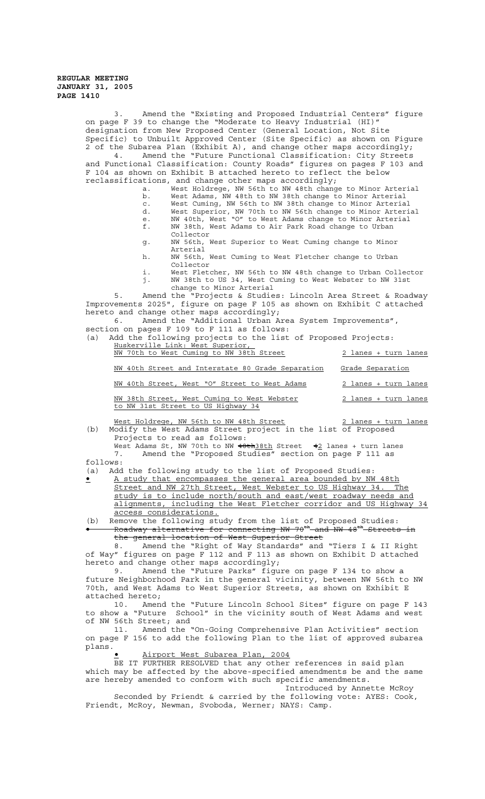3. Amend the "Existing and Proposed Industrial Centers" figure on page F 39 to change the "Moderate to Heavy Industrial (HI)" designation from New Proposed Center (General Location, Not Site Specific) to Unbuilt Approved Center (Site Specific) as shown on Figure 2 of the Subarea Plan (Exhibit A), and change other maps accordingly; 4. Amend the "Future Functional Classification: City Streets and Functional Classification: County Roads" figures on pages F 103 and F 104 as shown on Exhibit B attached hereto to reflect the below reclassifications, and change other maps accordingly; a. West Holdrege, NW 56th to NW 48th change to Minor Arterial<br>b. West Adams, NW 48th to NW 38th change to Minor Arterial West Adams, NW 48th to NW 38th change to Minor Arterial c. West Cuming, NW 56th to NW 38th change to Minor Arterial d. West Superior, NW 70th to NW 56th change to Minor Arterial e. NW 40th, West "O" to West Adams change to Minor Arterial f. NW 38th, West Adams to Air Park Road change to Urban Collector g. NW 56th, West Superior to West Cuming change to Minor Arterial h. NW 56th, West Cuming to West Fletcher change to Urban Collector i. West Fletcher, NW 56th to NW 48th change to Urban Collector j. NW 38th to US 34, West Cuming to West Webster to NW 31st change to Minor Arterial<br>Amend the "Projects & Studie 5. Amend the "Projects & Studies: Lincoln Area Street & Roadway Improvements 2025", figure on page F 105 as shown on Exhibit C attached hereto and change other maps accordingly; 6. Amend the "Additional Urban Area System Improvements", section on pages F 109 to F 111 as follows: (a) Add the following projects to the list of Proposed Projects: Huskerville Link: West Superior, NW 70th to West Cuming to NW 38th Street 2 lanes + turn lanes NW 40th Street and Interstate 80 Grade Separation Grade Separation NW 40th Street, West "O" Street to West Adams 2 lanes + turn lanes NW 38th Street, West Cuming to West Webster 2 lanes + turn lanes to NW 31st Street to US Highway 34 West Holdrege, NW 56th to NW 48th Street 2 lanes + turn lanes (b) Modify the West Adams Street project in the list of Proposed Projects to read as follows:

West Adams St, NW 70th to NW  $\frac{48th38th}{1000}$  Street  $\frac{42}{1000}$  lanes + turn lanes 7. Amend the "Proposed Studies" section on page F 111 as follows:

(a) Add the following study to the list of Proposed Studies:

• A study that encompasses the general area bounded by NW 48th Street and NW 27th Street, West Webster to US Highway 34. The study is to include north/south and east/west roadway needs and alignments, including the West Fletcher corridor and US Highway 34 access considerations.

(b) Remove the following study from the list of Proposed Studies: • Roadway alternative for connecting NW 70th and NW 48th Streets in the general location of West Superior Street

8. Amend the "Right of Way Standards" and "Tiers I & II Right of Way" figures on page  $\overline{F}$  112 and  $\overline{F}$  113 as shown on Exhibit D attached hereto and change other maps accordingly;

9. Amend the "Future Parks" figure on page F 134 to show a future Neighborhood Park in the general vicinity, between NW 56th to NW 70th, and West Adams to West Superior Streets, as shown on Exhibit E attached hereto;

10. Amend the "Future Lincoln School Sites" figure on page F 143 to show a "Future School" in the vicinity south of West Adams and west of NW 56th Street; and

11. Amend the "On-Going Comprehensive Plan Activities" section on page F 156 to add the following Plan to the list of approved subarea plans.

• Airport West Subarea Plan, 2004

BE IT FURTHER RESOLVED that any other references in said plan which may be affected by the above-specified amendments be and the same are hereby amended to conform with such specific amendments.

Introduced by Annette McRoy Seconded by Friendt & carried by the following vote: AYES: Cook, Friendt, McRoy, Newman, Svoboda, Werner; NAYS: Camp.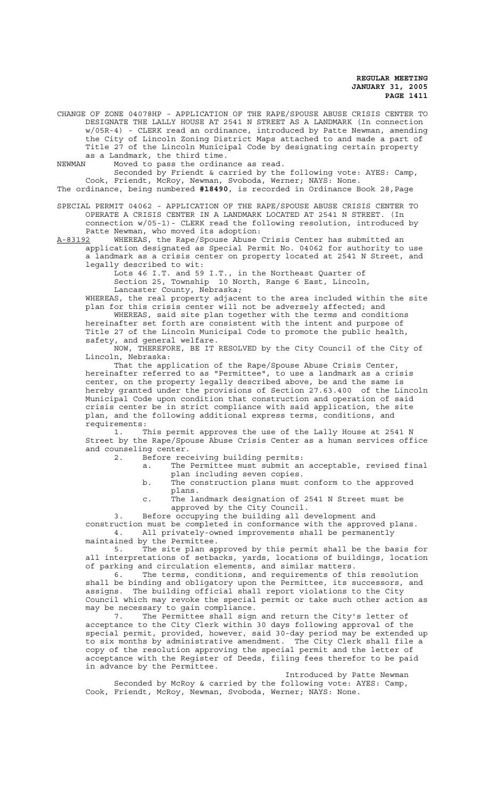CHANGE OF ZONE 04078HP - APPLICATION OF THE RAPE/SPOUSE ABUSE CRISIS CENTER TO DESIGNATE THE LALLY HOUSE AT 2541 N STREET AS A LANDMARK (In connection w/05R-4) - CLERK read an ordinance, introduced by Patte Newman, amending the City of Lincoln Zoning District Maps attached to and made a part of Title 27 of the Lincoln Municipal Code by designating certain property as a Landmark, the third time.

NEWMAN Moved to pass the ordinance as read.

Seconded by Friendt & carried by the following vote: AYES: Camp, Cook, Friendt, McRoy, Newman, Svoboda, Werner; NAYS: None. The ordinance, being numbered **#18490**, is recorded in Ordinance Book 28,Page

SPECIAL PERMIT 04062 - APPLICATION OF THE RAPE/SPOUSE ABUSE CRISIS CENTER TO OPERATE A CRISIS CENTER IN A LANDMARK LOCATED AT 2541 N STREET. (In connection w/05-1)- CLERK read the following resolution, introduced by Patte Newman, who moved its adoption:

A-83192 WHEREAS, the Rape/Spouse Abuse Crisis Center has submitted an application designated as Special Permit No. 04062 for authority to use a landmark as a crisis center on property located at 2541 N Street, and legally described to wit:

> Lots 46 I.T. and 59 I.T., in the Northeast Quarter of Section 25, Township 10 North, Range 6 East, Lincoln,

Lancaster County, Nebraska;

WHEREAS, the real property adjacent to the area included within the site plan for this crisis center will not be adversely affected; and

WHEREAS, said site plan together with the terms and conditions hereinafter set forth are consistent with the intent and purpose of Title 27 of the Lincoln Municipal Code to promote the public health, safety, and general welfare.

NOW, THEREFORE, BE IT RESOLVED by the City Council of the City of Lincoln, Nebraska:

That the application of the Rape/Spouse Abuse Crisis Center, hereinafter referred to as "Permittee", to use a landmark as a crisis center, on the property legally described above, be and the same is hereby granted under the provisions of Section 27.63.400 of the Lincoln Municipal Code upon condition that construction and operation of said crisis center be in strict compliance with said application, the site plan, and the following additional express terms, conditions, and requirements:

1. This permit approves the use of the Lally House at 2541 N Street by the Rape/Spouse Abuse Crisis Center as a human services office and counseling center.

- 2. Before receiving building permits:
	- a. The Permittee must submit an acceptable, revised final plan including seven copies.
	- b. The construction plans must conform to the approved plans.

c. The landmark designation of 2541 N Street must be approved by the City Council.

3. Before occupying the building all development and construction must be completed in conformance with the approved plans. 4. All privately-owned improvements shall be permanently maintained by the Permittee.

5. The site plan approved by this permit shall be the basis for all interpretations of setbacks, yards, locations of buildings, location of parking and circulation elements, and similar matters.

6. The terms, conditions, and requirements of this resolution shall be binding and obligatory upon the Permittee, its successors, and assigns. The building official shall report violations to the City Council which may revoke the special permit or take such other action as may be necessary to gain compliance.

7. The Permittee shall sign and return the City's letter of acceptance to the City Clerk within 30 days following approval of the special permit, provided, however, said 30-day period may be extended up to six months by administrative amendment. The City Clerk shall file a copy of the resolution approving the special permit and the letter of acceptance with the Register of Deeds, filing fees therefor to be paid in advance by the Permittee.

Introduced by Patte Newman Seconded by McRoy & carried by the following vote: AYES: Camp, Cook, Friendt, McRoy, Newman, Svoboda, Werner; NAYS: None.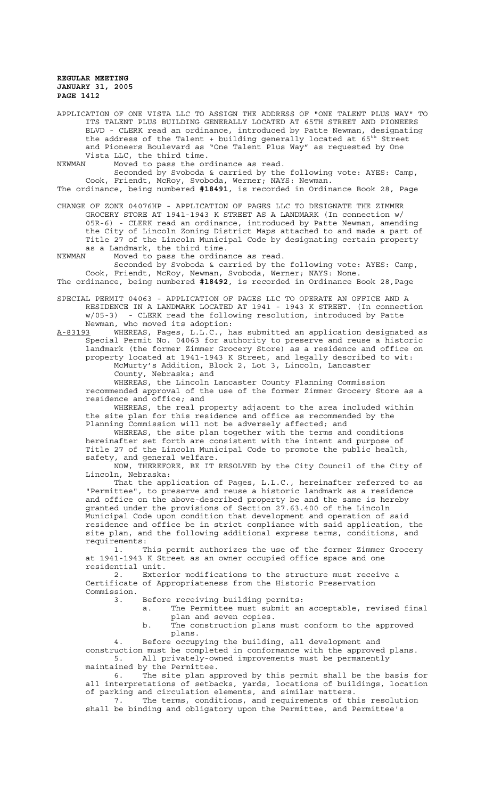APPLICATION OF ONE VISTA LLC TO ASSIGN THE ADDRESS OF "ONE TALENT PLUS WAY" TO ITS TALENT PLUS BUILDING GENERALLY LOCATED AT 65TH STREET AND PIONEERS BLVD - CLERK read an ordinance, introduced by Patte Newman, designating the address of the Talent + building generally located at 65<sup>th</sup> Street and Pioneers Boulevard as "One Talent Plus Way" as requested by One Vista LLC, the third time.

NEWMAN Moved to pass the ordinance as read.

Seconded by Svoboda & carried by the following vote: AYES: Camp, Cook, Friendt, McRoy, Svoboda, Werner; NAYS: Newman.

The ordinance, being numbered **#18491**, is recorded in Ordinance Book 28, Page

CHANGE OF ZONE 04076HP - APPLICATION OF PAGES LLC TO DESIGNATE THE ZIMMER GROCERY STORE AT 1941-1943 K STREET AS A LANDMARK (In connection w/ 05R-6) - CLERK read an ordinance, introduced by Patte Newman, amending the City of Lincoln Zoning District Maps attached to and made a part of Title 27 of the Lincoln Municipal Code by designating certain property as a Landmark, the third time.<br>NEWMAN Moved to pass the ordina

Moved to pass the ordinance as read.

Seconded by Svoboda & carried by the following vote: AYES: Camp, Cook, Friendt, McRoy, Newman, Svoboda, Werner; NAYS: None. The ordinance, being numbered **#18492**, is recorded in Ordinance Book 28,Page

SPECIAL PERMIT 04063 - APPLICATION OF PAGES LLC TO OPERATE AN OFFICE AND A -<br>RESIDENCE IN A LANDMARK LOCATED AT 1941 - 1943 K STREET. (In connection<br>w/05-3) - CLERK read the following resolution, introduced by Patte - CLERK read the following resolution, introduced by Patte Newman, who moved its adoption:

A-83193 MHEREAS, Pages, L.L.C., has submitted an application designated as Special Permit No. 04063 for authority to preserve and reuse a historic landmark (the former Zimmer Grocery Store) as a residence and office on property located at 1941-1943 K Street, and legally described to wit: McMurty's Addition, Block 2, Lot 3, Lincoln, Lancaster County, Nebraska; and

WHEREAS, the Lincoln Lancaster County Planning Commission recommended approval of the use of the former Zimmer Grocery Store as a residence and office; and

WHEREAS, the real property adjacent to the area included within the site plan for this residence and office as recommended by the Planning Commission will not be adversely affected; and

WHEREAS, the site plan together with the terms and conditions hereinafter set forth are consistent with the intent and purpose of Title 27 of the Lincoln Municipal Code to promote the public health, safety, and general welfare.

NOW, THEREFORE, BE IT RESOLVED by the City Council of the City of Lincoln, Nebraska:

That the application of Pages, L.L.C., hereinafter referred to as "Permittee", to preserve and reuse a historic landmark as a residence and office on the above-described property be and the same is hereby granted under the provisions of Section 27.63.400 of the Lincoln Municipal Code upon condition that development and operation of said residence and office be in strict compliance with said application, the site plan, and the following additional express terms, conditions, and requirements:

1. This permit authorizes the use of the former Zimmer Grocery at 1941-1943 K Street as an owner occupied office space and one residential unit.

2. Exterior modifications to the structure must receive a Certificate of Appropriateness from the Historic Preservation Commission.

3. Before receiving building permits:

- a. The Permittee must submit an acceptable, revised final plan and seven copies.
	- b. The construction plans must conform to the approved plans.

4. Before occupying the building, all development and construction must be completed in conformance with the approved plans. 5. All privately-owned improvements must be permanently

maintained by the Permittee. 6. The site plan approved by this permit shall be the basis for all interpretations of setbacks, yards, locations of buildings, location of parking and circulation elements, and similar matters.

7. The terms, conditions, and requirements of this resolution shall be binding and obligatory upon the Permittee, and Permittee's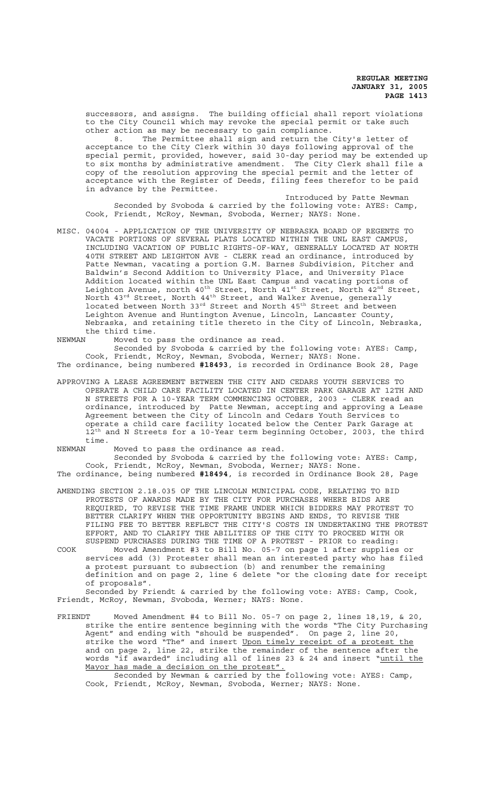successors, and assigns. The building official shall report violations to the City Council which may revoke the special permit or take such other action as may be necessary to gain compliance.

8. The Permittee shall sign and return the City's letter of acceptance to the City Clerk within 30 days following approval of the special permit, provided, however, said 30-day period may be extended up to six months by administrative amendment. The City Clerk shall file a copy of the resolution approving the special permit and the letter of acceptance with the Register of Deeds, filing fees therefor to be paid in advance by the Permittee.

Introduced by Patte Newman Seconded by Svoboda & carried by the following vote: AYES: Camp, Cook, Friendt, McRoy, Newman, Svoboda, Werner; NAYS: None.

MISC. 04004 - APPLICATION OF THE UNIVERSITY OF NEBRASKA BOARD OF REGENTS TO VACATE PORTIONS OF SEVERAL PLATS LOCATED WITHIN THE UNL EAST CAMPUS, INCLUDING VACATION OF PUBLIC RIGHTS-OF-WAY, GENERALLY LOCATED AT NORTH 40TH STREET AND LEIGHTON AVE - CLERK read an ordinance, introduced by Patte Newman, vacating a portion G.M. Barnes Subdivision, Pitcher and Baldwin's Second Addition to University Place, and University Place Addition located within the UNL East Campus and vacating portions of Leighton Avenue, north 40<sup>th</sup> Street, North 41<sup>st</sup> Street, North 42<sup>nd</sup> Street, North  $43^{\rm rd}$  Street, North  $44^{\rm th}$  Street, and Walker Avenue, generally located between North 33rd Street and North 45<sup>th</sup> Street and between Leighton Avenue and Huntington Avenue, Lincoln, Lancaster County, Nebraska, and retaining title thereto in the City of Lincoln, Nebraska, the third time.

NEWMAN Moved to pass the ordinance as read.

Seconded by Svoboda & carried by the following vote: AYES: Camp, Cook, Friendt, McRoy, Newman, Svoboda, Werner; NAYS: None. The ordinance, being numbered **#18493**, is recorded in Ordinance Book 28, Page

APPROVING A LEASE AGREEMENT BETWEEN THE CITY AND CEDARS YOUTH SERVICES TO OPERATE A CHILD CARE FACILITY LOCATED IN CENTER PARK GARAGE AT 12TH AND N STREETS FOR A 10-YEAR TERM COMMENCING OCTOBER, 2003 - CLERK read an ordinance, introduced by Patte Newman, accepting and approving a Lease Agreement between the City of Lincoln and Cedars Youth Services to operate a child care facility located below the Center Park Garage at 12<sup>th</sup> and N Streets for a 10-Year term beginning October, 2003, the third time.

NEWMAN Moved to pass the ordinance as read.

Seconded by Svoboda & carried by the following vote: AYES: Camp, Cook, Friendt, McRoy, Newman, Svoboda, Werner; NAYS: None.

The ordinance, being numbered **#18494**, is recorded in Ordinance Book 28, Page

AMENDING SECTION 2.18.035 OF THE LINCOLN MUNICIPAL CODE, RELATING TO BID PROTESTS OF AWARDS MADE BY THE CITY FOR PURCHASES WHERE BIDS ARE REQUIRED, TO REVISE THE TIME FRAME UNDER WHICH BIDDERS MAY PROTEST TO BETTER CLARIFY WHEN THE OPPORTUNITY BEGINS AND ENDS, TO REVISE THE FILING FEE TO BETTER REFLECT THE CITY'S COSTS IN UNDERTAKING THE PROTEST EFFORT, AND TO CLARIFY THE ABILITIES OF THE CITY TO PROCEED WITH OR SUSPEND PURCHASES DURING THE TIME OF A PROTEST - PRIOR to reading:

COOK Moved Amendment #3 to Bill No. 05-7 on page 1 after supplies or services add (3) Protester shall mean an interested party who has filed a protest pursuant to subsection (b) and renumber the remaining definition and on page 2, line 6 delete "or the closing date for receipt of proposals".

Seconded by Friendt & carried by the following vote: AYES: Camp, Cook, Friendt, McRoy, Newman, Svoboda, Werner; NAYS: None.

FRIENDT Moved Amendment #4 to Bill No. 05-7 on page 2, lines 18,19, & 20, strike the entire sentence beginning with the words "The City Purchasing Agent" and ending with "should be suspended". On page 2, line 20, strike the word "The" and insert Upon timely receipt of a protest the and on page 2, line 22, strike the remainder of the sentence after the words "if awarded" including all of lines 23 & 24 and insert "until the Mayor has made a decision on the protest"

Seconded by Newman & carried by the following vote: AYES: Camp, Cook, Friendt, McRoy, Newman, Svoboda, Werner; NAYS: None.